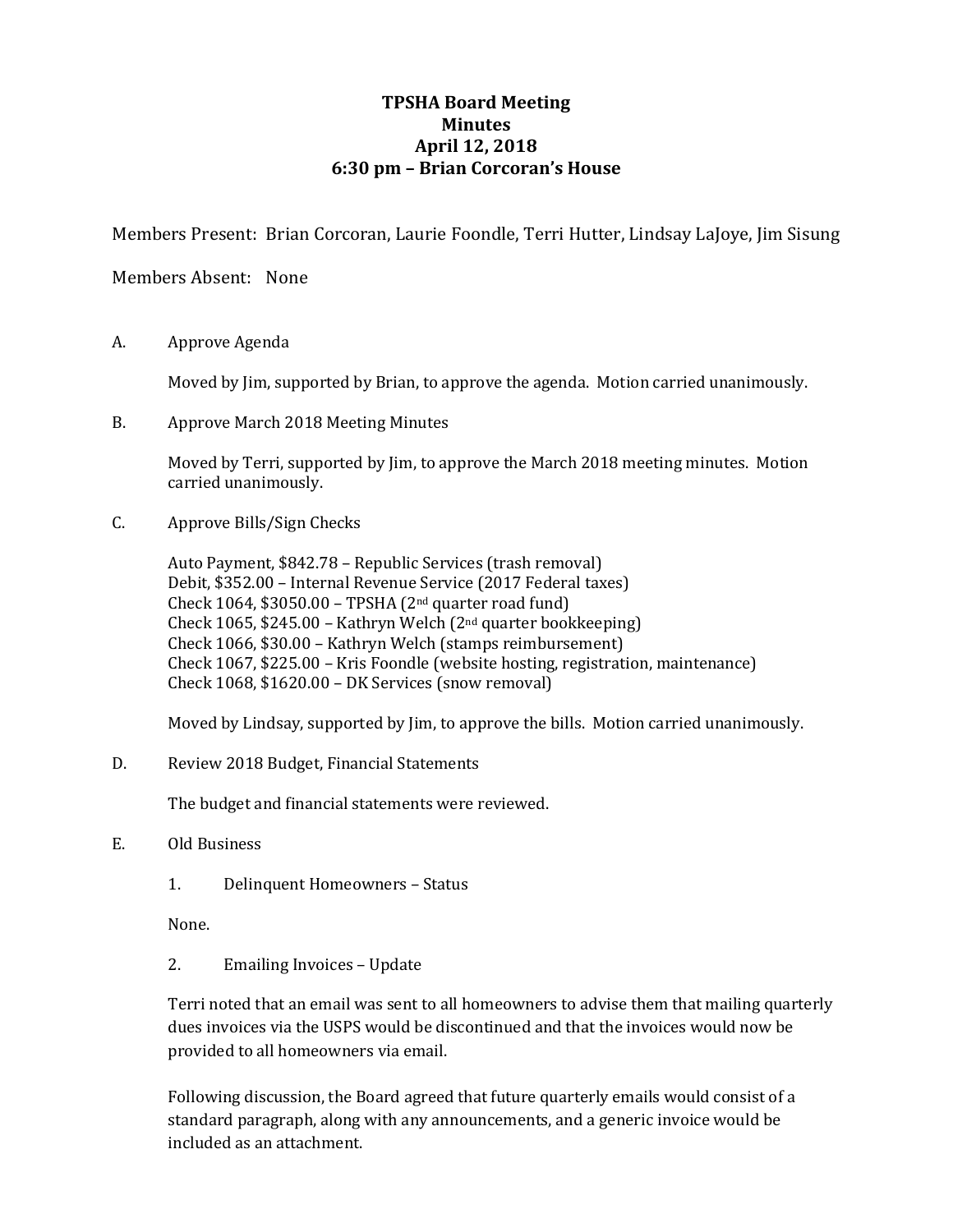# **TPSHA Board Meeting Minutes April 12, 2018 6:30 pm – Brian Corcoran's House**

Members Present: Brian Corcoran, Laurie Foondle, Terri Hutter, Lindsay LaJoye, Jim Sisung

Members Absent: None

A. Approve Agenda

Moved by Jim, supported by Brian, to approve the agenda. Motion carried unanimously.

B. Approve March 2018 Meeting Minutes

Moved by Terri, supported by Jim, to approve the March 2018 meeting minutes. Motion carried unanimously.

C. Approve Bills/Sign Checks

Auto Payment, \$842.78 – Republic Services (trash removal) Debit, \$352.00 – Internal Revenue Service (2017 Federal taxes) Check 1064,  $$3050.00 - TPSHA (2<sup>nd</sup> quarter road fund)$ Check 1065, \$245.00 – Kathryn Welch (2nd quarter bookkeeping) Check 1066, \$30.00 – Kathryn Welch (stamps reimbursement) Check 1067, \$225.00 – Kris Foondle (website hosting, registration, maintenance) Check 1068, \$1620.00 – DK Services (snow removal)

Moved by Lindsay, supported by Jim, to approve the bills. Motion carried unanimously.

D. Review 2018 Budget, Financial Statements

The budget and financial statements were reviewed.

- E. Old Business
	- 1. Delinquent Homeowners Status

None.

2. Emailing Invoices – Update

Terri noted that an email was sent to all homeowners to advise them that mailing quarterly dues invoices via the USPS would be discontinued and that the invoices would now be provided to all homeowners via email.

Following discussion, the Board agreed that future quarterly emails would consist of a standard paragraph, along with any announcements, and a generic invoice would be included as an attachment.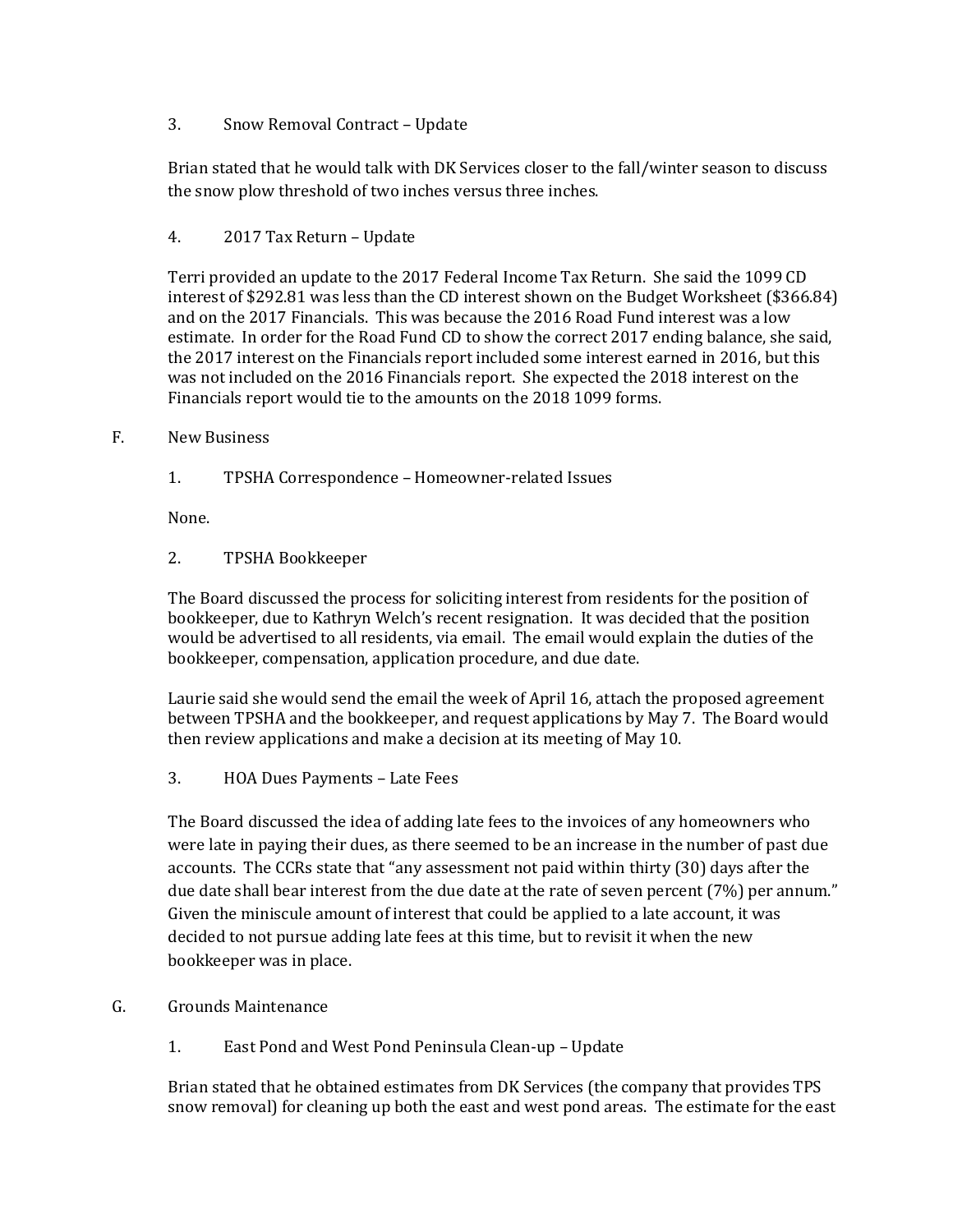### 3. Snow Removal Contract – Update

Brian stated that he would talk with DK Services closer to the fall/winter season to discuss the snow plow threshold of two inches versus three inches.

# 4. 2017 Tax Return – Update

Terri provided an update to the 2017 Federal Income Tax Return. She said the 1099 CD interest of \$292.81 was less than the CD interest shown on the Budget Worksheet (\$366.84) and on the 2017 Financials. This was because the 2016 Road Fund interest was a low estimate. In order for the Road Fund CD to show the correct 2017 ending balance, she said, the 2017 interest on the Financials report included some interest earned in 2016, but this was not included on the 2016 Financials report. She expected the 2018 interest on the Financials report would tie to the amounts on the 2018 1099 forms.

#### F. New Business

1. TPSHA Correspondence – Homeowner-related Issues

None.

2. TPSHA Bookkeeper

The Board discussed the process for soliciting interest from residents for the position of bookkeeper, due to Kathryn Welch's recent resignation. It was decided that the position would be advertised to all residents, via email. The email would explain the duties of the bookkeeper, compensation, application procedure, and due date.

Laurie said she would send the email the week of April 16, attach the proposed agreement between TPSHA and the bookkeeper, and request applications by May 7. The Board would then review applications and make a decision at its meeting of May 10.

3. HOA Dues Payments – Late Fees

The Board discussed the idea of adding late fees to the invoices of any homeowners who were late in paying their dues, as there seemed to be an increase in the number of past due accounts. The CCRs state that "any assessment not paid within thirty (30) days after the due date shall bear interest from the due date at the rate of seven percent (7%) per annum." Given the miniscule amount of interest that could be applied to a late account, it was decided to not pursue adding late fees at this time, but to revisit it when the new bookkeeper was in place.

#### G. Grounds Maintenance

1. East Pond and West Pond Peninsula Clean-up – Update

Brian stated that he obtained estimates from DK Services (the company that provides TPS snow removal) for cleaning up both the east and west pond areas. The estimate for the east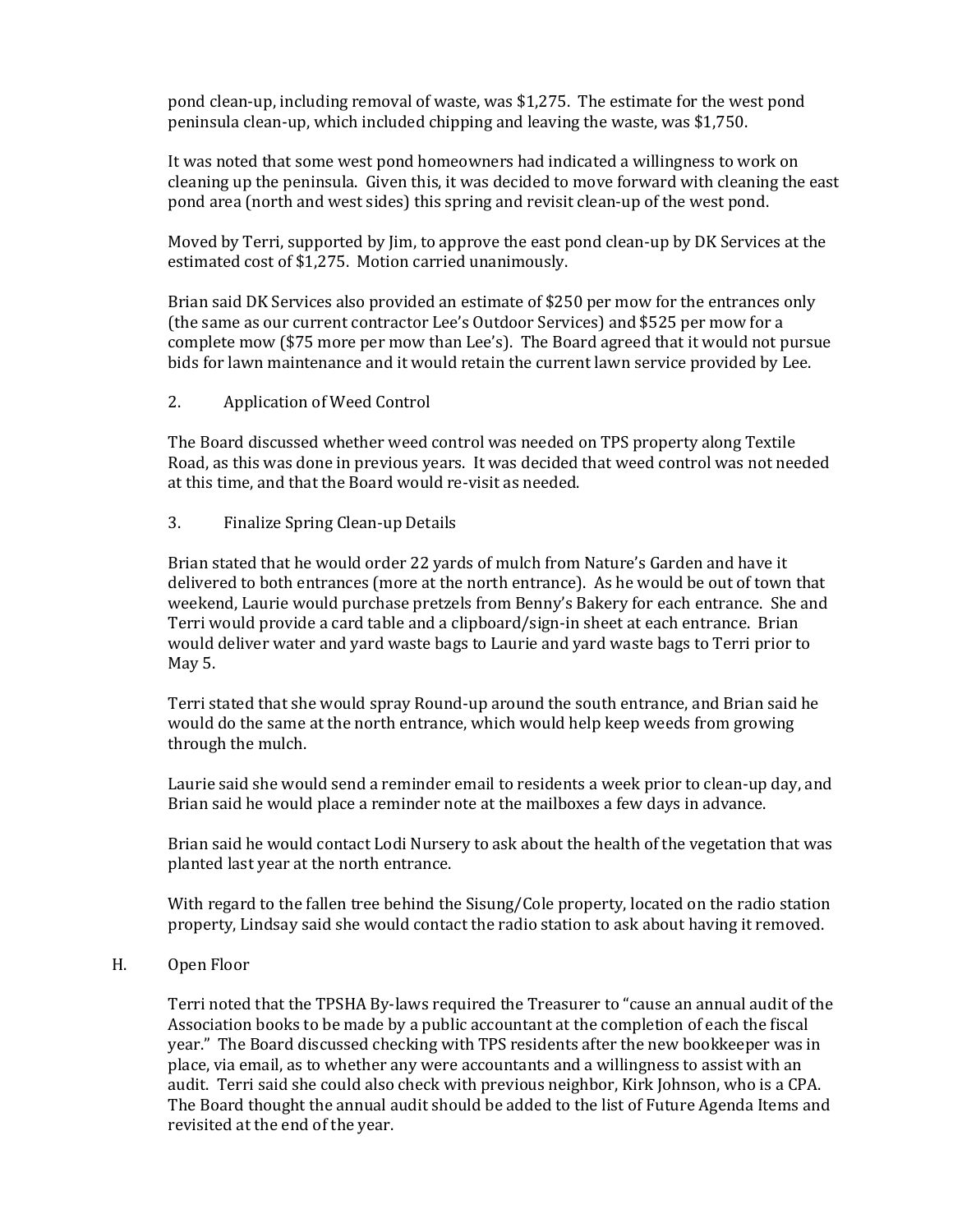pond clean-up, including removal of waste, was \$1,275. The estimate for the west pond peninsula clean-up, which included chipping and leaving the waste, was \$1,750.

It was noted that some west pond homeowners had indicated a willingness to work on cleaning up the peninsula. Given this, it was decided to move forward with cleaning the east pond area (north and west sides) this spring and revisit clean-up of the west pond.

Moved by Terri, supported by Jim, to approve the east pond clean-up by DK Services at the estimated cost of \$1,275. Motion carried unanimously.

Brian said DK Services also provided an estimate of \$250 per mow for the entrances only (the same as our current contractor Lee's Outdoor Services) and \$525 per mow for a complete mow (\$75 more per mow than Lee's). The Board agreed that it would not pursue bids for lawn maintenance and it would retain the current lawn service provided by Lee.

2. Application of Weed Control

The Board discussed whether weed control was needed on TPS property along Textile Road, as this was done in previous years. It was decided that weed control was not needed at this time, and that the Board would re-visit as needed.

3. Finalize Spring Clean-up Details

Brian stated that he would order 22 yards of mulch from Nature's Garden and have it delivered to both entrances (more at the north entrance). As he would be out of town that weekend, Laurie would purchase pretzels from Benny's Bakery for each entrance. She and Terri would provide a card table and a clipboard/sign-in sheet at each entrance. Brian would deliver water and yard waste bags to Laurie and yard waste bags to Terri prior to May 5.

Terri stated that she would spray Round-up around the south entrance, and Brian said he would do the same at the north entrance, which would help keep weeds from growing through the mulch.

Laurie said she would send a reminder email to residents a week prior to clean-up day, and Brian said he would place a reminder note at the mailboxes a few days in advance.

Brian said he would contact Lodi Nursery to ask about the health of the vegetation that was planted last year at the north entrance.

With regard to the fallen tree behind the Sisung/Cole property, located on the radio station property, Lindsay said she would contact the radio station to ask about having it removed.

H. Open Floor

Terri noted that the TPSHA By-laws required the Treasurer to "cause an annual audit of the Association books to be made by a public accountant at the completion of each the fiscal year." The Board discussed checking with TPS residents after the new bookkeeper was in place, via email, as to whether any were accountants and a willingness to assist with an audit. Terri said she could also check with previous neighbor, Kirk Johnson, who is a CPA. The Board thought the annual audit should be added to the list of Future Agenda Items and revisited at the end of the year.